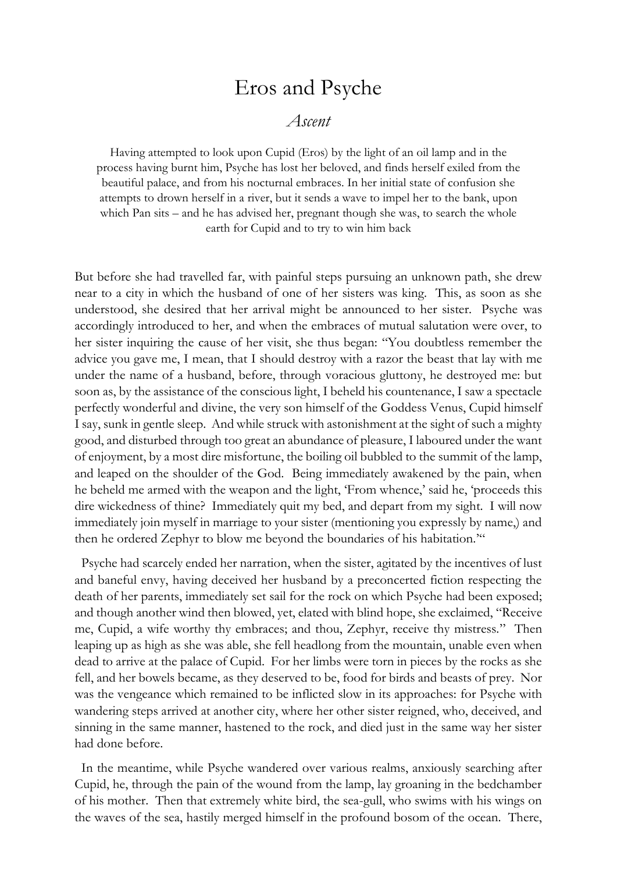## Eros and Psyche

## *Ascent*

Having attempted to look upon Cupid (Eros) by the light of an oil lamp and in the process having burnt him, Psyche has lost her beloved, and finds herself exiled from the beautiful palace, and from his nocturnal embraces. In her initial state of confusion she attempts to drown herself in a river, but it sends a wave to impel her to the bank, upon which Pan sits – and he has advised her, pregnant though she was, to search the whole earth for Cupid and to try to win him back

But before she had travelled far, with painful steps pursuing an unknown path, she drew near to a city in which the husband of one of her sisters was king. This, as soon as she understood, she desired that her arrival might be announced to her sister. Psyche was accordingly introduced to her, and when the embraces of mutual salutation were over, to her sister inquiring the cause of her visit, she thus began: "You doubtless remember the advice you gave me, I mean, that I should destroy with a razor the beast that lay with me under the name of a husband, before, through voracious gluttony, he destroyed me: but soon as, by the assistance of the conscious light, I beheld his countenance, I saw a spectacle perfectly wonderful and divine, the very son himself of the Goddess Venus, Cupid himself I say, sunk in gentle sleep. And while struck with astonishment at the sight of such a mighty good, and disturbed through too great an abundance of pleasure, I laboured under the want of enjoyment, by a most dire misfortune, the boiling oil bubbled to the summit of the lamp, and leaped on the shoulder of the God. Being immediately awakened by the pain, when he beheld me armed with the weapon and the light, 'From whence,' said he, 'proceeds this dire wickedness of thine? Immediately quit my bed, and depart from my sight. I will now immediately join myself in marriage to your sister (mentioning you expressly by name,) and then he ordered Zephyr to blow me beyond the boundaries of his habitation.'"

 Psyche had scarcely ended her narration, when the sister, agitated by the incentives of lust and baneful envy, having deceived her husband by a preconcerted fiction respecting the death of her parents, immediately set sail for the rock on which Psyche had been exposed; and though another wind then blowed, yet, elated with blind hope, she exclaimed, "Receive me, Cupid, a wife worthy thy embraces; and thou, Zephyr, receive thy mistress." Then leaping up as high as she was able, she fell headlong from the mountain, unable even when dead to arrive at the palace of Cupid. For her limbs were torn in pieces by the rocks as she fell, and her bowels became, as they deserved to be, food for birds and beasts of prey. Nor was the vengeance which remained to be inflicted slow in its approaches: for Psyche with wandering steps arrived at another city, where her other sister reigned, who, deceived, and sinning in the same manner, hastened to the rock, and died just in the same way her sister had done before.

 In the meantime, while Psyche wandered over various realms, anxiously searching after Cupid, he, through the pain of the wound from the lamp, lay groaning in the bedchamber of his mother. Then that extremely white bird, the sea-gull, who swims with his wings on the waves of the sea, hastily merged himself in the profound bosom of the ocean. There,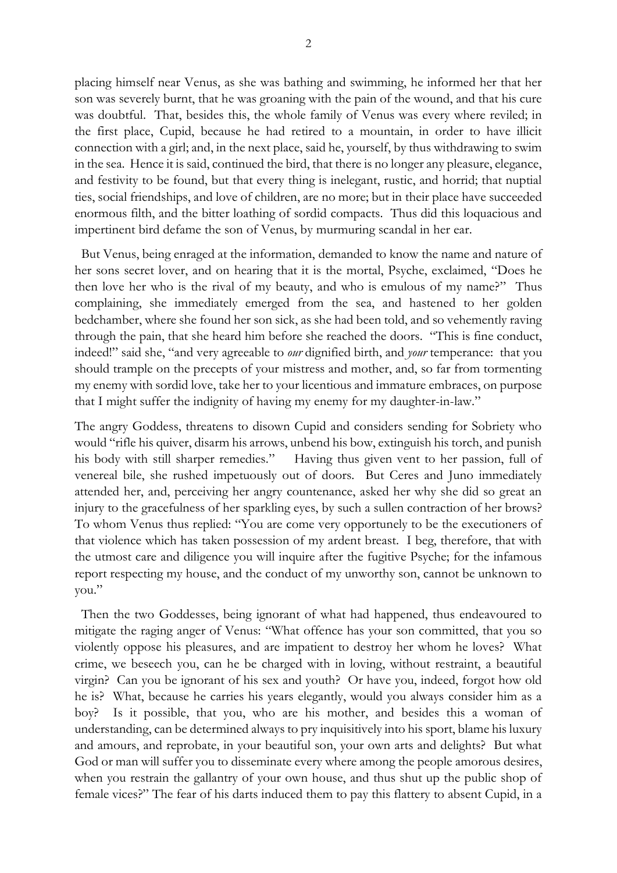placing himself near Venus, as she was bathing and swimming, he informed her that her son was severely burnt, that he was groaning with the pain of the wound, and that his cure was doubtful. That, besides this, the whole family of Venus was every where reviled; in the first place, Cupid, because he had retired to a mountain, in order to have illicit connection with a girl; and, in the next place, said he, yourself, by thus withdrawing to swim in the sea. Hence it is said, continued the bird, that there is no longer any pleasure, elegance, and festivity to be found, but that every thing is inelegant, rustic, and horrid; that nuptial ties, social friendships, and love of children, are no more; but in their place have succeeded enormous filth, and the bitter loathing of sordid compacts. Thus did this loquacious and impertinent bird defame the son of Venus, by murmuring scandal in her ear.

 But Venus, being enraged at the information, demanded to know the name and nature of her sons secret lover, and on hearing that it is the mortal, Psyche, exclaimed, "Does he then love her who is the rival of my beauty, and who is emulous of my name?" Thus complaining, she immediately emerged from the sea, and hastened to her golden bedchamber, where she found her son sick, as she had been told, and so vehemently raving through the pain, that she heard him before she reached the doors. "This is fine conduct, indeed!" said she, "and very agreeable to *our* dignified birth, and *your* temperance: that you should trample on the precepts of your mistress and mother, and, so far from tormenting my enemy with sordid love, take her to your licentious and immature embraces, on purpose that I might suffer the indignity of having my enemy for my daughter-in-law."

The angry Goddess, threatens to disown Cupid and considers sending for Sobriety who would "rifle his quiver, disarm his arrows, unbend his bow, extinguish his torch, and punish his body with still sharper remedies." Having thus given vent to her passion, full of venereal bile, she rushed impetuously out of doors. But Ceres and Juno immediately attended her, and, perceiving her angry countenance, asked her why she did so great an injury to the gracefulness of her sparkling eyes, by such a sullen contraction of her brows? To whom Venus thus replied: "You are come very opportunely to be the executioners of that violence which has taken possession of my ardent breast. I beg, therefore, that with the utmost care and diligence you will inquire after the fugitive Psyche; for the infamous report respecting my house, and the conduct of my unworthy son, cannot be unknown to you."

 Then the two Goddesses, being ignorant of what had happened, thus endeavoured to mitigate the raging anger of Venus: "What offence has your son committed, that you so violently oppose his pleasures, and are impatient to destroy her whom he loves? What crime, we beseech you, can he be charged with in loving, without restraint, a beautiful virgin? Can you be ignorant of his sex and youth? Or have you, indeed, forgot how old he is? What, because he carries his years elegantly, would you always consider him as a boy? Is it possible, that you, who are his mother, and besides this a woman of understanding, can be determined always to pry inquisitively into his sport, blame his luxury and amours, and reprobate, in your beautiful son, your own arts and delights? But what God or man will suffer you to disseminate every where among the people amorous desires, when you restrain the gallantry of your own house, and thus shut up the public shop of female vices?" The fear of his darts induced them to pay this flattery to absent Cupid, in a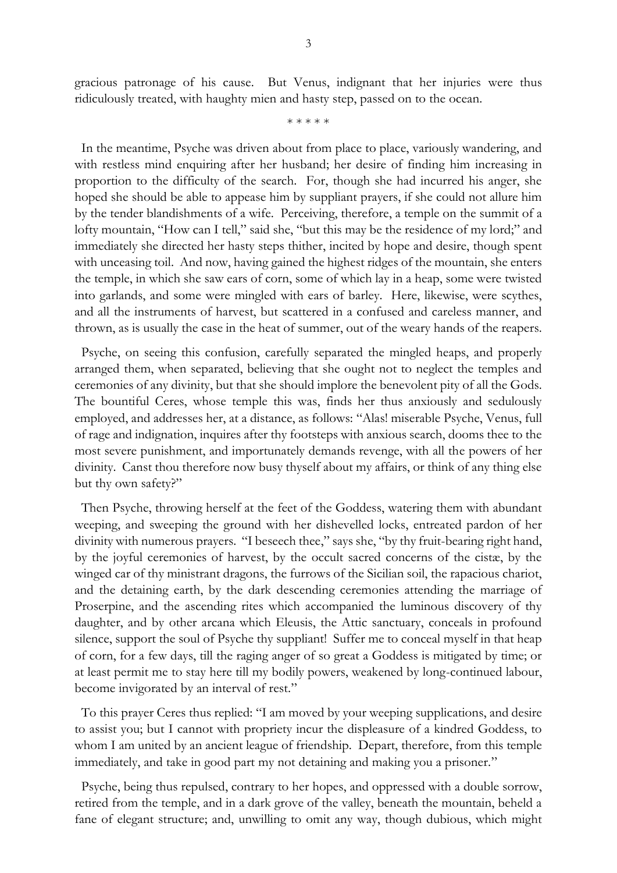gracious patronage of his cause. But Venus, indignant that her injuries were thus ridiculously treated, with haughty mien and hasty step, passed on to the ocean.

\* \* \* \* \*

 In the meantime, Psyche was driven about from place to place, variously wandering, and with restless mind enquiring after her husband; her desire of finding him increasing in proportion to the difficulty of the search. For, though she had incurred his anger, she hoped she should be able to appease him by suppliant prayers, if she could not allure him by the tender blandishments of a wife. Perceiving, therefore, a temple on the summit of a lofty mountain, "How can I tell," said she, "but this may be the residence of my lord;" and immediately she directed her hasty steps thither, incited by hope and desire, though spent with unceasing toil. And now, having gained the highest ridges of the mountain, she enters the temple, in which she saw ears of corn, some of which lay in a heap, some were twisted into garlands, and some were mingled with ears of barley. Here, likewise, were scythes, and all the instruments of harvest, but scattered in a confused and careless manner, and thrown, as is usually the case in the heat of summer, out of the weary hands of the reapers.

 Psyche, on seeing this confusion, carefully separated the mingled heaps, and properly arranged them, when separated, believing that she ought not to neglect the temples and ceremonies of any divinity, but that she should implore the benevolent pity of all the Gods. The bountiful Ceres, whose temple this was, finds her thus anxiously and sedulously employed, and addresses her, at a distance, as follows: "Alas! miserable Psyche, Venus, full of rage and indignation, inquires after thy footsteps with anxious search, dooms thee to the most severe punishment, and importunately demands revenge, with all the powers of her divinity. Canst thou therefore now busy thyself about my affairs, or think of any thing else but thy own safety?"

 Then Psyche, throwing herself at the feet of the Goddess, watering them with abundant weeping, and sweeping the ground with her dishevelled locks, entreated pardon of her divinity with numerous prayers. "I beseech thee," says she, "by thy fruit-bearing right hand, by the joyful ceremonies of harvest, by the occult sacred concerns of the cistæ, by the winged car of thy ministrant dragons, the furrows of the Sicilian soil, the rapacious chariot, and the detaining earth, by the dark descending ceremonies attending the marriage of Proserpine, and the ascending rites which accompanied the luminous discovery of thy daughter, and by other arcana which Eleusis, the Attic sanctuary, conceals in profound silence, support the soul of Psyche thy suppliant! Suffer me to conceal myself in that heap of corn, for a few days, till the raging anger of so great a Goddess is mitigated by time; or at least permit me to stay here till my bodily powers, weakened by long-continued labour, become invigorated by an interval of rest."

To this prayer Ceres thus replied: "I am moved by your weeping supplications, and desire to assist you; but I cannot with propriety incur the displeasure of a kindred Goddess, to whom I am united by an ancient league of friendship. Depart, therefore, from this temple immediately, and take in good part my not detaining and making you a prisoner."

 Psyche, being thus repulsed, contrary to her hopes, and oppressed with a double sorrow, retired from the temple, and in a dark grove of the valley, beneath the mountain, beheld a fane of elegant structure; and, unwilling to omit any way, though dubious, which might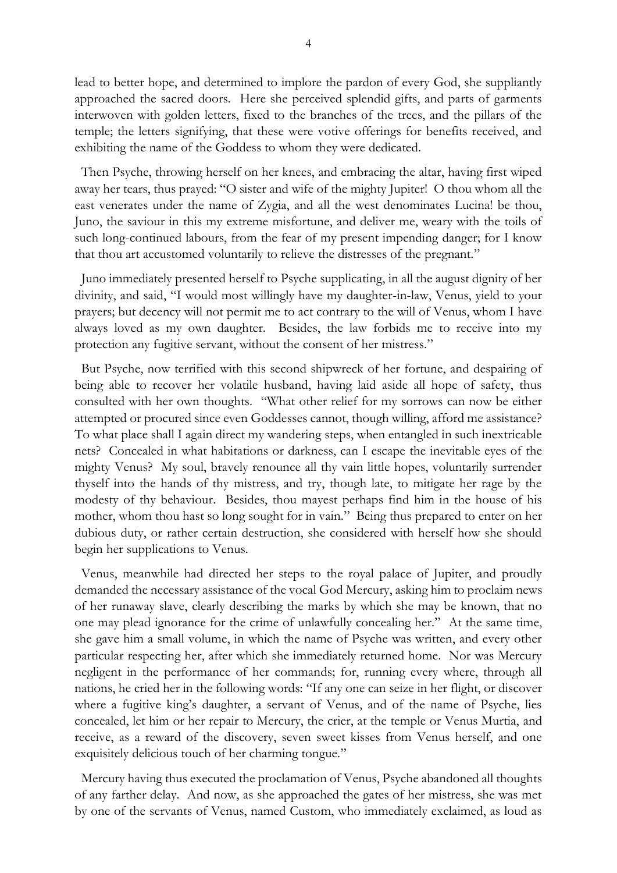lead to better hope, and determined to implore the pardon of every God, she suppliantly approached the sacred doors. Here she perceived splendid gifts, and parts of garments interwoven with golden letters, fixed to the branches of the trees, and the pillars of the temple; the letters signifying, that these were votive offerings for benefits received, and exhibiting the name of the Goddess to whom they were dedicated.

 Then Psyche, throwing herself on her knees, and embracing the altar, having first wiped away her tears, thus prayed: "O sister and wife of the mighty Jupiter! O thou whom all the east venerates under the name of Zygia, and all the west denominates Lucina! be thou, Juno, the saviour in this my extreme misfortune, and deliver me, weary with the toils of such long-continued labours, from the fear of my present impending danger; for I know that thou art accustomed voluntarily to relieve the distresses of the pregnant."

 Juno immediately presented herself to Psyche supplicating, in all the august dignity of her divinity, and said, "I would most willingly have my daughter-in-law, Venus, yield to your prayers; but decency will not permit me to act contrary to the will of Venus, whom I have always loved as my own daughter. Besides, the law forbids me to receive into my protection any fugitive servant, without the consent of her mistress."

 But Psyche, now terrified with this second shipwreck of her fortune, and despairing of being able to recover her volatile husband, having laid aside all hope of safety, thus consulted with her own thoughts. "What other relief for my sorrows can now be either attempted or procured since even Goddesses cannot, though willing, afford me assistance? To what place shall I again direct my wandering steps, when entangled in such inextricable nets? Concealed in what habitations or darkness, can I escape the inevitable eyes of the mighty Venus? My soul, bravely renounce all thy vain little hopes, voluntarily surrender thyself into the hands of thy mistress, and try, though late, to mitigate her rage by the modesty of thy behaviour. Besides, thou mayest perhaps find him in the house of his mother, whom thou hast so long sought for in vain." Being thus prepared to enter on her dubious duty, or rather certain destruction, she considered with herself how she should begin her supplications to Venus.

 Venus, meanwhile had directed her steps to the royal palace of Jupiter, and proudly demanded the necessary assistance of the vocal God Mercury, asking him to proclaim news of her runaway slave, clearly describing the marks by which she may be known, that no one may plead ignorance for the crime of unlawfully concealing her." At the same time, she gave him a small volume, in which the name of Psyche was written, and every other particular respecting her, after which she immediately returned home. Nor was Mercury negligent in the performance of her commands; for, running every where, through all nations, he cried her in the following words: "If any one can seize in her flight, or discover where a fugitive king's daughter, a servant of Venus, and of the name of Psyche, lies concealed, let him or her repair to Mercury, the crier, at the temple or Venus Murtia, and receive, as a reward of the discovery, seven sweet kisses from Venus herself, and one exquisitely delicious touch of her charming tongue."

 Mercury having thus executed the proclamation of Venus, Psyche abandoned all thoughts of any farther delay. And now, as she approached the gates of her mistress, she was met by one of the servants of Venus, named Custom, who immediately exclaimed, as loud as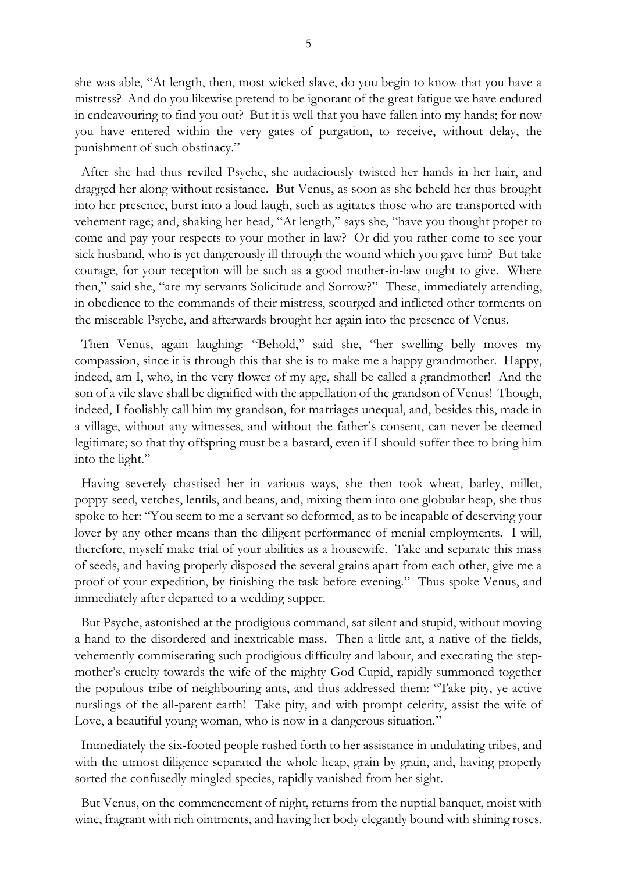she was able, "At length, then, most wicked slave, do you begin to know that you have a mistress? And do you likewise pretend to be ignorant of the great fatigue we have endured in endeavouring to find you out? But it is well that you have fallen into my hands; for now you have entered within the very gates of purgation, to receive, without delay, the punishment of such obstinacy."

 After she had thus reviled Psyche, she audaciously twisted her hands in her hair, and dragged her along without resistance. But Venus, as soon as she beheld her thus brought into her presence, burst into a loud laugh, such as agitates those who are transported with vehement rage; and, shaking her head, "At length," says she, "have you thought proper to come and pay your respects to your mother-in-law? Or did you rather come to see your sick husband, who is yet dangerously ill through the wound which you gave him? But take courage, for your reception will be such as a good mother-in-law ought to give. Where then," said she, "are my servants Solicitude and Sorrow?" These, immediately attending, in obedience to the commands of their mistress, scourged and inflicted other torments on the miserable Psyche, and afterwards brought her again into the presence of Venus.

 Then Venus, again laughing: "Behold," said she, "her swelling belly moves my compassion, since it is through this that she is to make me a happy grandmother. Happy, indeed, am I, who, in the very flower of my age, shall be called a grandmother! And the son of a vile slave shall be dignified with the appellation of the grandson of Venus! Though, indeed, I foolishly call him my grandson, for marriages unequal, and, besides this, made in a village, without any witnesses, and without the father's consent, can never be deemed legitimate; so that thy offspring must be a bastard, even if I should suffer thee to bring him into the light."

 Having severely chastised her in various ways, she then took wheat, barley, millet, poppy-seed, vetches, lentils, and beans, and, mixing them into one globular heap, she thus spoke to her: "You seem to me a servant so deformed, as to be incapable of deserving your lover by any other means than the diligent performance of menial employments. I will, therefore, myself make trial of your abilities as a housewife. Take and separate this mass of seeds, and having properly disposed the several grains apart from each other, give me a proof of your expedition, by finishing the task before evening." Thus spoke Venus, and immediately after departed to a wedding supper.

 But Psyche, astonished at the prodigious command, sat silent and stupid, without moving a hand to the disordered and inextricable mass. Then a little ant, a native of the fields, vehemently commiserating such prodigious difficulty and labour, and execrating the stepmother's cruelty towards the wife of the mighty God Cupid, rapidly summoned together the populous tribe of neighbouring ants, and thus addressed them: "Take pity, ye active nurslings of the all-parent earth! Take pity, and with prompt celerity, assist the wife of Love, a beautiful young woman, who is now in a dangerous situation."

 Immediately the six-footed people rushed forth to her assistance in undulating tribes, and with the utmost diligence separated the whole heap, grain by grain, and, having properly sorted the confusedly mingled species, rapidly vanished from her sight.

 But Venus, on the commencement of night, returns from the nuptial banquet, moist with wine, fragrant with rich ointments, and having her body elegantly bound with shining roses.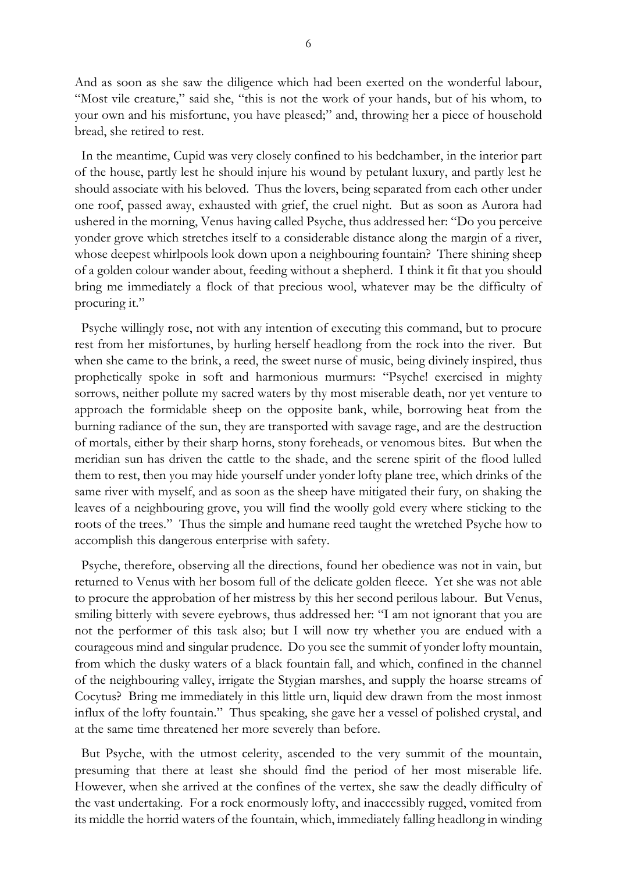And as soon as she saw the diligence which had been exerted on the wonderful labour, "Most vile creature," said she, "this is not the work of your hands, but of his whom, to your own and his misfortune, you have pleased;" and, throwing her a piece of household bread, she retired to rest.

 In the meantime, Cupid was very closely confined to his bedchamber, in the interior part of the house, partly lest he should injure his wound by petulant luxury, and partly lest he should associate with his beloved. Thus the lovers, being separated from each other under one roof, passed away, exhausted with grief, the cruel night. But as soon as Aurora had ushered in the morning, Venus having called Psyche, thus addressed her: "Do you perceive yonder grove which stretches itself to a considerable distance along the margin of a river, whose deepest whirlpools look down upon a neighbouring fountain? There shining sheep of a golden colour wander about, feeding without a shepherd. I think it fit that you should bring me immediately a flock of that precious wool, whatever may be the difficulty of procuring it."

 Psyche willingly rose, not with any intention of executing this command, but to procure rest from her misfortunes, by hurling herself headlong from the rock into the river. But when she came to the brink, a reed, the sweet nurse of music, being divinely inspired, thus prophetically spoke in soft and harmonious murmurs: "Psyche! exercised in mighty sorrows, neither pollute my sacred waters by thy most miserable death, nor yet venture to approach the formidable sheep on the opposite bank, while, borrowing heat from the burning radiance of the sun, they are transported with savage rage, and are the destruction of mortals, either by their sharp horns, stony foreheads, or venomous bites. But when the meridian sun has driven the cattle to the shade, and the serene spirit of the flood lulled them to rest, then you may hide yourself under yonder lofty plane tree, which drinks of the same river with myself, and as soon as the sheep have mitigated their fury, on shaking the leaves of a neighbouring grove, you will find the woolly gold every where sticking to the roots of the trees." Thus the simple and humane reed taught the wretched Psyche how to accomplish this dangerous enterprise with safety.

 Psyche, therefore, observing all the directions, found her obedience was not in vain, but returned to Venus with her bosom full of the delicate golden fleece. Yet she was not able to procure the approbation of her mistress by this her second perilous labour. But Venus, smiling bitterly with severe eyebrows, thus addressed her: "I am not ignorant that you are not the performer of this task also; but I will now try whether you are endued with a courageous mind and singular prudence. Do you see the summit of yonder lofty mountain, from which the dusky waters of a black fountain fall, and which, confined in the channel of the neighbouring valley, irrigate the Stygian marshes, and supply the hoarse streams of Cocytus? Bring me immediately in this little urn, liquid dew drawn from the most inmost influx of the lofty fountain." Thus speaking, she gave her a vessel of polished crystal, and at the same time threatened her more severely than before.

 But Psyche, with the utmost celerity, ascended to the very summit of the mountain, presuming that there at least she should find the period of her most miserable life. However, when she arrived at the confines of the vertex, she saw the deadly difficulty of the vast undertaking. For a rock enormously lofty, and inaccessibly rugged, vomited from its middle the horrid waters of the fountain, which, immediately falling headlong in winding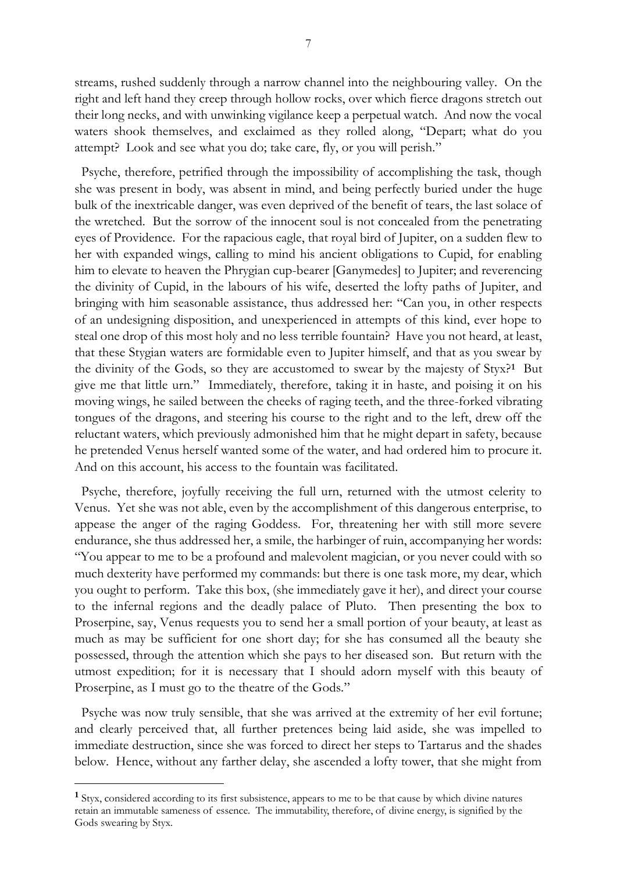streams, rushed suddenly through a narrow channel into the neighbouring valley. On the right and left hand they creep through hollow rocks, over which fierce dragons stretch out their long necks, and with unwinking vigilance keep a perpetual watch. And now the vocal waters shook themselves, and exclaimed as they rolled along, "Depart; what do you attempt? Look and see what you do; take care, fly, or you will perish."

 Psyche, therefore, petrified through the impossibility of accomplishing the task, though she was present in body, was absent in mind, and being perfectly buried under the huge bulk of the inextricable danger, was even deprived of the benefit of tears, the last solace of the wretched. But the sorrow of the innocent soul is not concealed from the penetrating eyes of Providence. For the rapacious eagle, that royal bird of Jupiter, on a sudden flew to her with expanded wings, calling to mind his ancient obligations to Cupid, for enabling him to elevate to heaven the Phrygian cup-bearer [Ganymedes] to Jupiter; and reverencing the divinity of Cupid, in the labours of his wife, deserted the lofty paths of Jupiter, and bringing with him seasonable assistance, thus addressed her: "Can you, in other respects of an undesigning disposition, and unexperienced in attempts of this kind, ever hope to steal one drop of this most holy and no less terrible fountain? Have you not heard, at least, that these Stygian waters are formidable even to Jupiter himself, and that as you swear by the divinity of the Gods, so they are accustomed to swear by the majesty of Styx?**<sup>1</sup>** But give me that little urn." Immediately, therefore, taking it in haste, and poising it on his moving wings, he sailed between the cheeks of raging teeth, and the three-forked vibrating tongues of the dragons, and steering his course to the right and to the left, drew off the reluctant waters, which previously admonished him that he might depart in safety, because he pretended Venus herself wanted some of the water, and had ordered him to procure it. And on this account, his access to the fountain was facilitated.

 Psyche, therefore, joyfully receiving the full urn, returned with the utmost celerity to Venus. Yet she was not able, even by the accomplishment of this dangerous enterprise, to appease the anger of the raging Goddess. For, threatening her with still more severe endurance, she thus addressed her, a smile, the harbinger of ruin, accompanying her words: "You appear to me to be a profound and malevolent magician, or you never could with so much dexterity have performed my commands: but there is one task more, my dear, which you ought to perform. Take this box, (she immediately gave it her), and direct your course to the infernal regions and the deadly palace of Pluto. Then presenting the box to Proserpine, say, Venus requests you to send her a small portion of your beauty, at least as much as may be sufficient for one short day; for she has consumed all the beauty she possessed, through the attention which she pays to her diseased son. But return with the utmost expedition; for it is necessary that I should adorn myself with this beauty of Proserpine, as I must go to the theatre of the Gods."

 Psyche was now truly sensible, that she was arrived at the extremity of her evil fortune; and clearly perceived that, all further pretences being laid aside, she was impelled to immediate destruction, since she was forced to direct her steps to Tartarus and the shades below. Hence, without any farther delay, she ascended a lofty tower, that she might from

-

**<sup>1</sup>** Styx, considered according to its first subsistence, appears to me to be that cause by which divine natures retain an immutable sameness of essence. The immutability, therefore, of divine energy, is signified by the Gods swearing by Styx.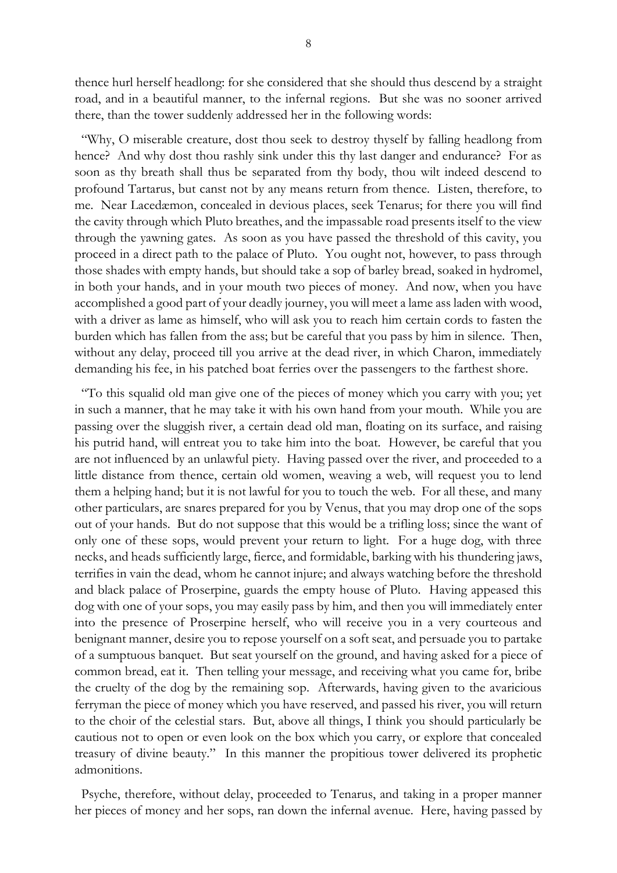thence hurl herself headlong: for she considered that she should thus descend by a straight road, and in a beautiful manner, to the infernal regions. But she was no sooner arrived there, than the tower suddenly addressed her in the following words:

 "Why, O miserable creature, dost thou seek to destroy thyself by falling headlong from hence? And why dost thou rashly sink under this thy last danger and endurance? For as soon as thy breath shall thus be separated from thy body, thou wilt indeed descend to profound Tartarus, but canst not by any means return from thence. Listen, therefore, to me. Near Lacedæmon, concealed in devious places, seek Tenarus; for there you will find the cavity through which Pluto breathes, and the impassable road presents itself to the view through the yawning gates. As soon as you have passed the threshold of this cavity, you proceed in a direct path to the palace of Pluto. You ought not, however, to pass through those shades with empty hands, but should take a sop of barley bread, soaked in hydromel, in both your hands, and in your mouth two pieces of money. And now, when you have accomplished a good part of your deadly journey, you will meet a lame ass laden with wood, with a driver as lame as himself, who will ask you to reach him certain cords to fasten the burden which has fallen from the ass; but be careful that you pass by him in silence. Then, without any delay, proceed till you arrive at the dead river, in which Charon, immediately demanding his fee, in his patched boat ferries over the passengers to the farthest shore.

 "To this squalid old man give one of the pieces of money which you carry with you; yet in such a manner, that he may take it with his own hand from your mouth. While you are passing over the sluggish river, a certain dead old man, floating on its surface, and raising his putrid hand, will entreat you to take him into the boat. However, be careful that you are not influenced by an unlawful piety. Having passed over the river, and proceeded to a little distance from thence, certain old women, weaving a web, will request you to lend them a helping hand; but it is not lawful for you to touch the web. For all these, and many other particulars, are snares prepared for you by Venus, that you may drop one of the sops out of your hands. But do not suppose that this would be a trifling loss; since the want of only one of these sops, would prevent your return to light. For a huge dog, with three necks, and heads sufficiently large, fierce, and formidable, barking with his thundering jaws, terrifies in vain the dead, whom he cannot injure; and always watching before the threshold and black palace of Proserpine, guards the empty house of Pluto. Having appeased this dog with one of your sops, you may easily pass by him, and then you will immediately enter into the presence of Proserpine herself, who will receive you in a very courteous and benignant manner, desire you to repose yourself on a soft seat, and persuade you to partake of a sumptuous banquet. But seat yourself on the ground, and having asked for a piece of common bread, eat it. Then telling your message, and receiving what you came for, bribe the cruelty of the dog by the remaining sop. Afterwards, having given to the avaricious ferryman the piece of money which you have reserved, and passed his river, you will return to the choir of the celestial stars. But, above all things, I think you should particularly be cautious not to open or even look on the box which you carry, or explore that concealed treasury of divine beauty." In this manner the propitious tower delivered its prophetic admonitions.

 Psyche, therefore, without delay, proceeded to Tenarus, and taking in a proper manner her pieces of money and her sops, ran down the infernal avenue. Here, having passed by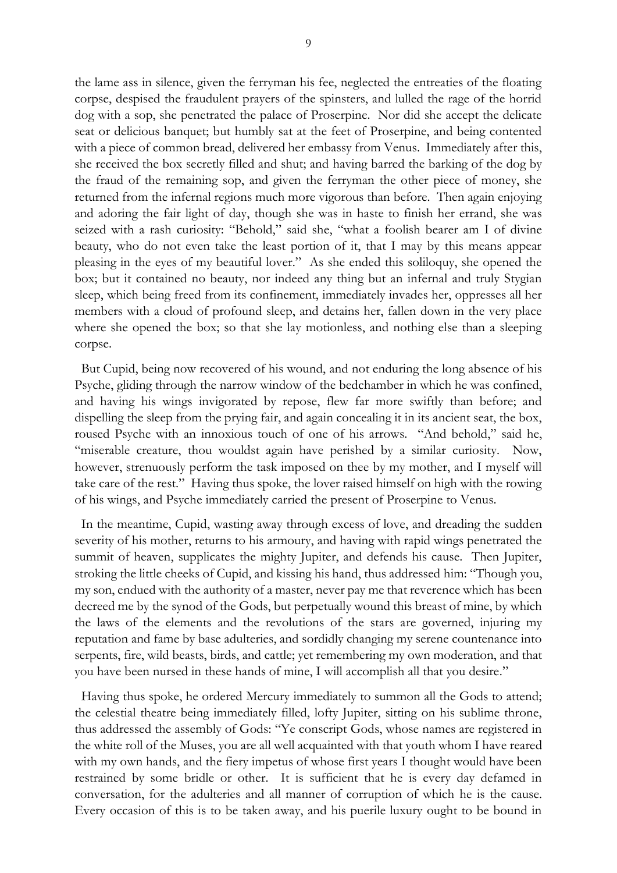the lame ass in silence, given the ferryman his fee, neglected the entreaties of the floating corpse, despised the fraudulent prayers of the spinsters, and lulled the rage of the horrid dog with a sop, she penetrated the palace of Proserpine. Nor did she accept the delicate seat or delicious banquet; but humbly sat at the feet of Proserpine, and being contented with a piece of common bread, delivered her embassy from Venus. Immediately after this, she received the box secretly filled and shut; and having barred the barking of the dog by the fraud of the remaining sop, and given the ferryman the other piece of money, she returned from the infernal regions much more vigorous than before. Then again enjoying and adoring the fair light of day, though she was in haste to finish her errand, she was seized with a rash curiosity: "Behold," said she, "what a foolish bearer am I of divine beauty, who do not even take the least portion of it, that I may by this means appear pleasing in the eyes of my beautiful lover." As she ended this soliloquy, she opened the box; but it contained no beauty, nor indeed any thing but an infernal and truly Stygian sleep, which being freed from its confinement, immediately invades her, oppresses all her members with a cloud of profound sleep, and detains her, fallen down in the very place where she opened the box; so that she lay motionless, and nothing else than a sleeping corpse.

 But Cupid, being now recovered of his wound, and not enduring the long absence of his Psyche, gliding through the narrow window of the bedchamber in which he was confined, and having his wings invigorated by repose, flew far more swiftly than before; and dispelling the sleep from the prying fair, and again concealing it in its ancient seat, the box, roused Psyche with an innoxious touch of one of his arrows. "And behold," said he, "miserable creature, thou wouldst again have perished by a similar curiosity. Now, however, strenuously perform the task imposed on thee by my mother, and I myself will take care of the rest." Having thus spoke, the lover raised himself on high with the rowing of his wings, and Psyche immediately carried the present of Proserpine to Venus.

 In the meantime, Cupid, wasting away through excess of love, and dreading the sudden severity of his mother, returns to his armoury, and having with rapid wings penetrated the summit of heaven, supplicates the mighty Jupiter, and defends his cause. Then Jupiter, stroking the little cheeks of Cupid, and kissing his hand, thus addressed him: "Though you, my son, endued with the authority of a master, never pay me that reverence which has been decreed me by the synod of the Gods, but perpetually wound this breast of mine, by which the laws of the elements and the revolutions of the stars are governed, injuring my reputation and fame by base adulteries, and sordidly changing my serene countenance into serpents, fire, wild beasts, birds, and cattle; yet remembering my own moderation, and that you have been nursed in these hands of mine, I will accomplish all that you desire."

 Having thus spoke, he ordered Mercury immediately to summon all the Gods to attend; the celestial theatre being immediately filled, lofty Jupiter, sitting on his sublime throne, thus addressed the assembly of Gods: "Ye conscript Gods, whose names are registered in the white roll of the Muses, you are all well acquainted with that youth whom I have reared with my own hands, and the fiery impetus of whose first years I thought would have been restrained by some bridle or other. It is sufficient that he is every day defamed in conversation, for the adulteries and all manner of corruption of which he is the cause. Every occasion of this is to be taken away, and his puerile luxury ought to be bound in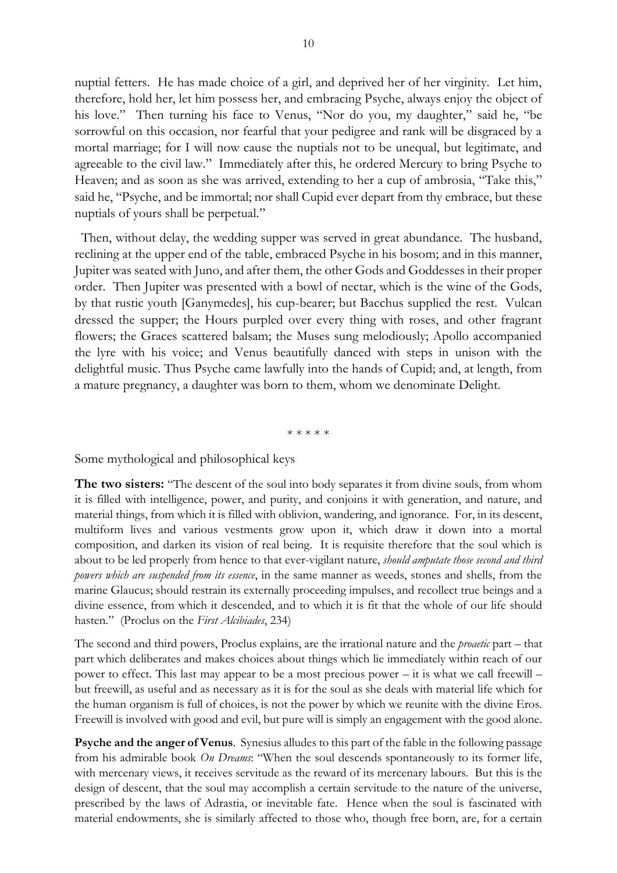nuptial fetters. He has made choice of a girl, and deprived her of her virginity. Let him, therefore, hold her, let him possess her, and embracing Psyche, always enjoy the object of his love." Then turning his face to Venus, "Nor do you, my daughter," said he, "be sorrowful on this occasion, nor fearful that your pedigree and rank will be disgraced by a mortal marriage; for I will now cause the nuptials not to be unequal, but legitimate, and agreeable to the civil law." Immediately after this, he ordered Mercury to bring Psyche to Heaven; and as soon as she was arrived, extending to her a cup of ambrosia, "Take this," said he, "Psyche, and be immortal; nor shall Cupid ever depart from thy embrace, but these nuptials of yours shall be perpetual."

 Then, without delay, the wedding supper was served in great abundance. The husband, reclining at the upper end of the table, embraced Psyche in his bosom; and in this manner, Jupiter was seated with Juno, and after them, the other Gods and Goddesses in their proper order. Then Jupiter was presented with a bowl of nectar, which is the wine of the Gods, by that rustic youth [Ganymedes], his cup-bearer; but Bacchus supplied the rest. Vulcan dressed the supper; the Hours purpled over every thing with roses, and other fragrant flowers; the Graces scattered balsam; the Muses sung melodiously; Apollo accompanied the lyre with his voice; and Venus beautifully danced with steps in unison with the delightful music. Thus Psyche came lawfully into the hands of Cupid; and, at length, from a mature pregnancy, a daughter was born to them, whom we denominate Delight.

\* \* \* \* \*

Some mythological and philosophical keys

**The two sisters:** "The descent of the soul into body separates it from divine souls, from whom it is filled with intelligence, power, and purity, and conjoins it with generation, and nature, and material things, from which it is filled with oblivion, wandering, and ignorance. For, in its descent, multiform lives and various vestments grow upon it, which draw it down into a mortal composition, and darken its vision of real being. It is requisite therefore that the soul which is about to be led properly from hence to that ever-vigilant nature, *should amputate those second and third powers which are suspended from its essence*, in the same manner as weeds, stones and shells, from the marine Glaucus; should restrain its externally proceeding impulses, and recollect true beings and a divine essence, from which it descended, and to which it is fit that the whole of our life should hasten." (Proclus on the *First Alcibiades*, 234)

The second and third powers, Proclus explains, are the irrational nature and the *proaetic* part – that part which deliberates and makes choices about things which lie immediately within reach of our power to effect. This last may appear to be a most precious power – it is what we call freewill – but freewill, as useful and as necessary as it is for the soul as she deals with material life which for the human organism is full of choices, is not the power by which we reunite with the divine Eros. Freewill is involved with good and evil, but pure will is simply an engagement with the good alone.

**Psyche and the anger of Venus**. Synesius alludes to this part of the fable in the following passage from his admirable book *On Dreams*: "When the soul descends spontaneously to its former life, with mercenary views, it receives servitude as the reward of its mercenary labours. But this is the design of descent, that the soul may accomplish a certain servitude to the nature of the universe, prescribed by the laws of Adrastia, or inevitable fate. Hence when the soul is fascinated with material endowments, she is similarly affected to those who, though free born, are, for a certain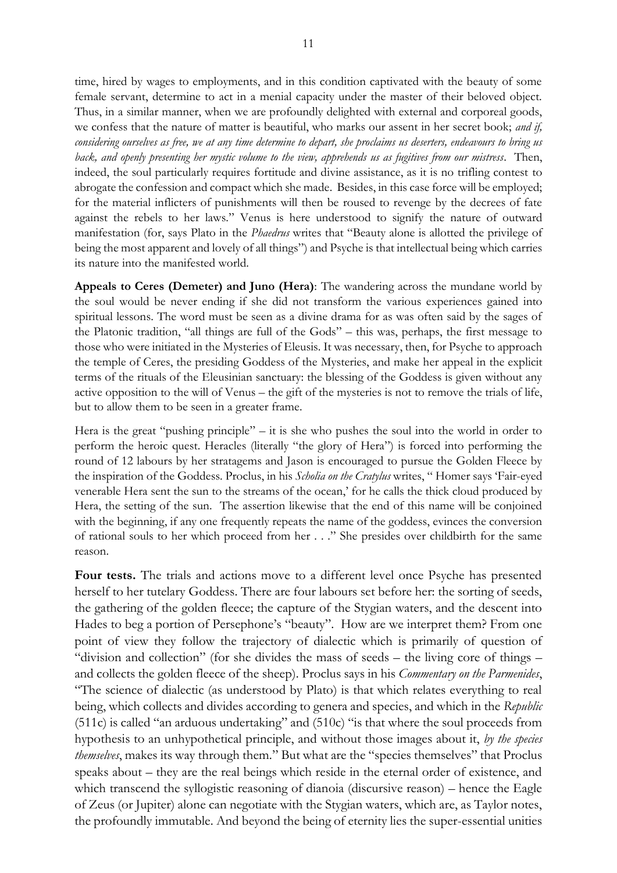time, hired by wages to employments, and in this condition captivated with the beauty of some female servant, determine to act in a menial capacity under the master of their beloved object. Thus, in a similar manner, when we are profoundly delighted with external and corporeal goods, we confess that the nature of matter is beautiful, who marks our assent in her secret book; *and if,* 

*considering ourselves as free, we at any time determine to depart, she proclaims us deserters, endeavours to bring us back, and openly presenting her mystic volume to the view, apprehends us as fugitives from our mistress*. Then, indeed, the soul particularly requires fortitude and divine assistance, as it is no trifling contest to abrogate the confession and compact which she made. Besides, in this case force will be employed; for the material inflicters of punishments will then be roused to revenge by the decrees of fate against the rebels to her laws." Venus is here understood to signify the nature of outward manifestation (for, says Plato in the *Phaedrus* writes that "Beauty alone is allotted the privilege of being the most apparent and lovely of all things") and Psyche is that intellectual being which carries its nature into the manifested world.

**Appeals to Ceres (Demeter) and Juno (Hera)**: The wandering across the mundane world by the soul would be never ending if she did not transform the various experiences gained into spiritual lessons. The word must be seen as a divine drama for as was often said by the sages of the Platonic tradition, "all things are full of the Gods" – this was, perhaps, the first message to those who were initiated in the Mysteries of Eleusis. It was necessary, then, for Psyche to approach the temple of Ceres, the presiding Goddess of the Mysteries, and make her appeal in the explicit terms of the rituals of the Eleusinian sanctuary: the blessing of the Goddess is given without any active opposition to the will of Venus – the gift of the mysteries is not to remove the trials of life, but to allow them to be seen in a greater frame.

Hera is the great "pushing principle" – it is she who pushes the soul into the world in order to perform the heroic quest. Heracles (literally "the glory of Hera") is forced into performing the round of 12 labours by her stratagems and Jason is encouraged to pursue the Golden Fleece by the inspiration of the Goddess. Proclus, in his *Scholia on the Cratylus* writes, " Homer says 'Fair-eyed venerable Hera sent the sun to the streams of the ocean,' for he calls the thick cloud produced by Hera, the setting of the sun. The assertion likewise that the end of this name will be conjoined with the beginning, if any one frequently repeats the name of the goddess, evinces the conversion of rational souls to her which proceed from her . . ." She presides over childbirth for the same reason.

**Four tests.** The trials and actions move to a different level once Psyche has presented herself to her tutelary Goddess. There are four labours set before her: the sorting of seeds, the gathering of the golden fleece; the capture of the Stygian waters, and the descent into Hades to beg a portion of Persephone's "beauty". How are we interpret them? From one point of view they follow the trajectory of dialectic which is primarily of question of "division and collection" (for she divides the mass of seeds – the living core of things – and collects the golden fleece of the sheep). Proclus says in his *Commentary on the Parmenides*, "The science of dialectic (as understood by Plato) is that which relates everything to real being, which collects and divides according to genera and species, and which in the *Republic* (511c) is called "an arduous undertaking" and (510c) "is that where the soul proceeds from hypothesis to an unhypothetical principle, and without those images about it, *by the species themselves*, makes its way through them." But what are the "species themselves" that Proclus speaks about – they are the real beings which reside in the eternal order of existence, and which transcend the syllogistic reasoning of dianoia (discursive reason) – hence the Eagle of Zeus (or Jupiter) alone can negotiate with the Stygian waters, which are, as Taylor notes, the profoundly immutable. And beyond the being of eternity lies the super-essential unities